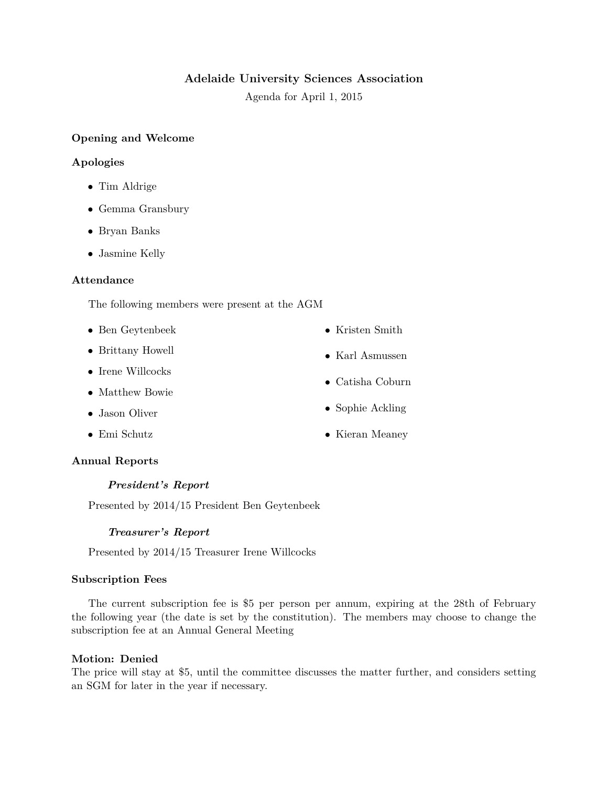#### **Adelaide University Sciences Association**

Agenda for April 1, 2015

#### **Opening and Welcome**

#### **Apologies**

- Tim Aldrige
- Gemma Gransbury
- Bryan Banks
- Jasmine Kelly

#### **Attendance**

The following members were present at the AGM

- Ben Geytenbeek
- Brittany Howell
- Irene Willcocks
- Matthew Bowie
- Jason Oliver
- Emi Schutz
- Kristen Smith
- Karl Asmussen
- Catisha Coburn
- Sophie Ackling
- Kieran Meaney

#### **Annual Reports**

#### *President's Report*

Presented by 2014/15 President Ben Geytenbeek

#### *Treasurer's Report*

Presented by 2014/15 Treasurer Irene Willcocks

#### **Subscription Fees**

The current subscription fee is \$5 per person per annum, expiring at the 28th of February the following year (the date is set by the constitution). The members may choose to change the subscription fee at an Annual General Meeting

#### **Motion: Denied**

The price will stay at \$5, until the committee discusses the matter further, and considers setting an SGM for later in the year if necessary.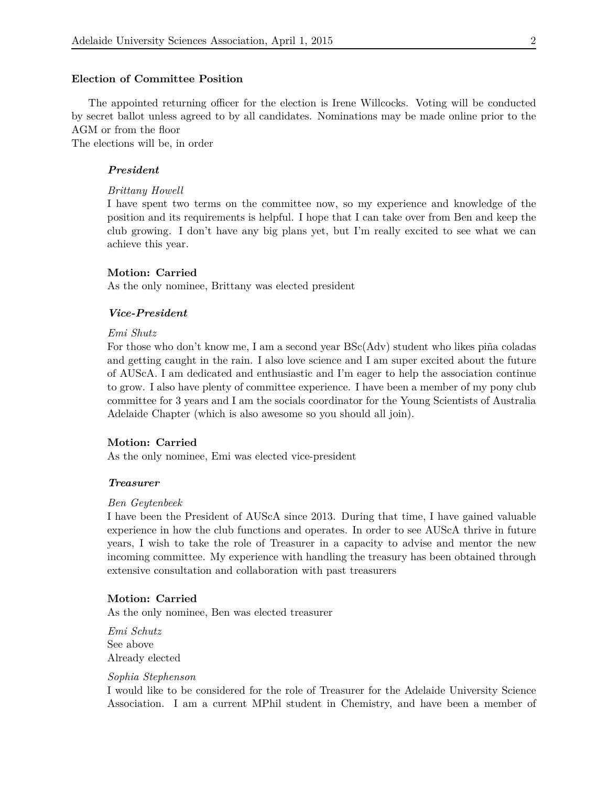#### **Election of Committee Position**

The appointed returning officer for the election is Irene Willcocks. Voting will be conducted by secret ballot unless agreed to by all candidates. Nominations may be made online prior to the AGM or from the floor The elections will be, in order

#### *President*

#### *Brittany Howell*

I have spent two terms on the committee now, so my experience and knowledge of the position and its requirements is helpful. I hope that I can take over from Ben and keep the club growing. I don't have any big plans yet, but I'm really excited to see what we can achieve this year.

#### **Motion: Carried**

As the only nominee, Brittany was elected president

#### *Vice-President*

#### *Emi Shutz*

For those who don't know me, I am a second year BSc(Adv) student who likes piña coladas and getting caught in the rain. I also love science and I am super excited about the future of AUScA. I am dedicated and enthusiastic and I'm eager to help the association continue to grow. I also have plenty of committee experience. I have been a member of my pony club committee for 3 years and I am the socials coordinator for the Young Scientists of Australia Adelaide Chapter (which is also awesome so you should all join).

#### **Motion: Carried**

As the only nominee, Emi was elected vice-president

#### *Treasurer*

#### *Ben Geytenbeek*

I have been the President of AUScA since 2013. During that time, I have gained valuable experience in how the club functions and operates. In order to see AUScA thrive in future years, I wish to take the role of Treasurer in a capacity to advise and mentor the new incoming committee. My experience with handling the treasury has been obtained through extensive consultation and collaboration with past treasurers

#### **Motion: Carried**

As the only nominee, Ben was elected treasurer

*Emi Schutz* See above Already elected

#### *Sophia Stephenson*

I would like to be considered for the role of Treasurer for the Adelaide University Science Association. I am a current MPhil student in Chemistry, and have been a member of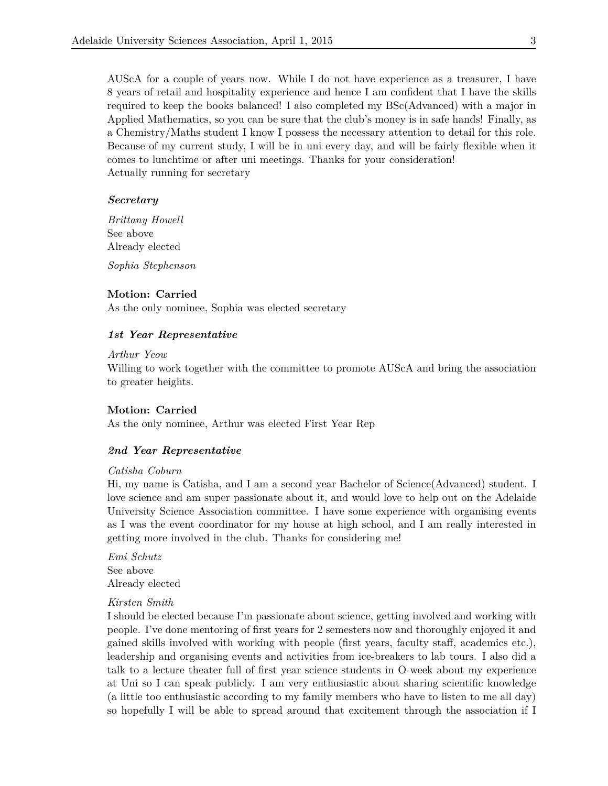AUScA for a couple of years now. While I do not have experience as a treasurer, I have 8 years of retail and hospitality experience and hence I am confident that I have the skills required to keep the books balanced! I also completed my BSc(Advanced) with a major in Applied Mathematics, so you can be sure that the club's money is in safe hands! Finally, as a Chemistry/Maths student I know I possess the necessary attention to detail for this role. Because of my current study, I will be in uni every day, and will be fairly flexible when it comes to lunchtime or after uni meetings. Thanks for your consideration! Actually running for secretary

#### *Secretary*

*Brittany Howell* See above Already elected

*Sophia Stephenson*

#### **Motion: Carried**

As the only nominee, Sophia was elected secretary

#### *1st Year Representative*

#### *Arthur Yeow*

Willing to work together with the committee to promote AUScA and bring the association to greater heights.

#### **Motion: Carried**

As the only nominee, Arthur was elected First Year Rep

#### *2nd Year Representative*

#### *Catisha Coburn*

Hi, my name is Catisha, and I am a second year Bachelor of Science(Advanced) student. I love science and am super passionate about it, and would love to help out on the Adelaide University Science Association committee. I have some experience with organising events as I was the event coordinator for my house at high school, and I am really interested in getting more involved in the club. Thanks for considering me!

*Emi Schutz* See above Already elected

#### *Kirsten Smith*

I should be elected because I'm passionate about science, getting involved and working with people. I've done mentoring of first years for 2 semesters now and thoroughly enjoyed it and gained skills involved with working with people (first years, faculty staff, academics etc.), leadership and organising events and activities from ice-breakers to lab tours. I also did a talk to a lecture theater full of first year science students in O-week about my experience at Uni so I can speak publicly. I am very enthusiastic about sharing scientific knowledge (a little too enthusiastic according to my family members who have to listen to me all day) so hopefully I will be able to spread around that excitement through the association if I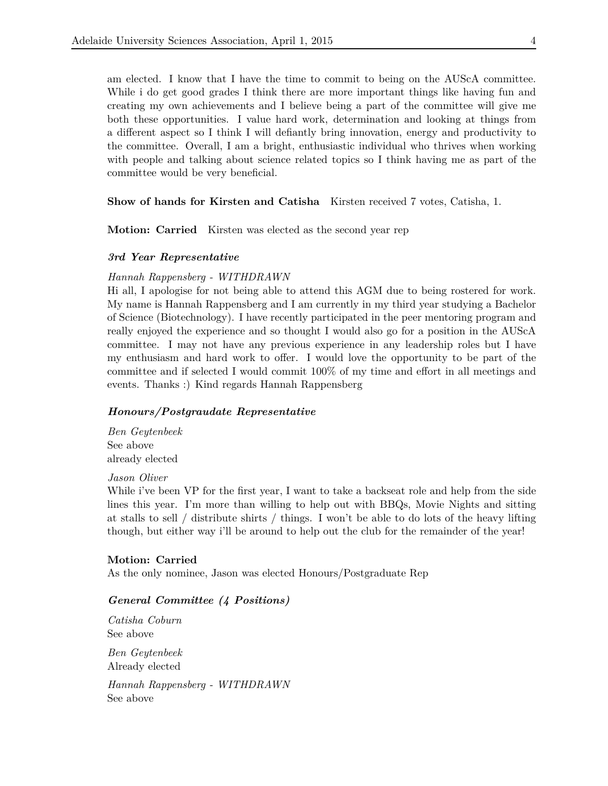am elected. I know that I have the time to commit to being on the AUScA committee. While i do get good grades I think there are more important things like having fun and creating my own achievements and I believe being a part of the committee will give me both these opportunities. I value hard work, determination and looking at things from a different aspect so I think I will defiantly bring innovation, energy and productivity to the committee. Overall, I am a bright, enthusiastic individual who thrives when working with people and talking about science related topics so I think having me as part of the committee would be very beneficial.

**Show of hands for Kirsten and Catisha** Kirsten received 7 votes, Catisha, 1.

**Motion: Carried** Kirsten was elected as the second year rep

#### *3rd Year Representative*

#### *Hannah Rappensberg - WITHDRAWN*

Hi all, I apologise for not being able to attend this AGM due to being rostered for work. My name is Hannah Rappensberg and I am currently in my third year studying a Bachelor of Science (Biotechnology). I have recently participated in the peer mentoring program and really enjoyed the experience and so thought I would also go for a position in the AUScA committee. I may not have any previous experience in any leadership roles but I have my enthusiasm and hard work to offer. I would love the opportunity to be part of the committee and if selected I would commit 100% of my time and effort in all meetings and events. Thanks :) Kind regards Hannah Rappensberg

#### *Honours/Postgraudate Representative*

*Ben Geytenbeek* See above already elected

#### *Jason Oliver*

While i've been VP for the first year, I want to take a backseat role and help from the side lines this year. I'm more than willing to help out with BBQs, Movie Nights and sitting at stalls to sell / distribute shirts / things. I won't be able to do lots of the heavy lifting though, but either way i'll be around to help out the club for the remainder of the year!

#### **Motion: Carried**

As the only nominee, Jason was elected Honours/Postgraduate Rep

#### *General Committee (4 Positions)*

*Catisha Coburn* See above

See above

*Ben Geytenbeek* Already elected *Hannah Rappensberg - WITHDRAWN*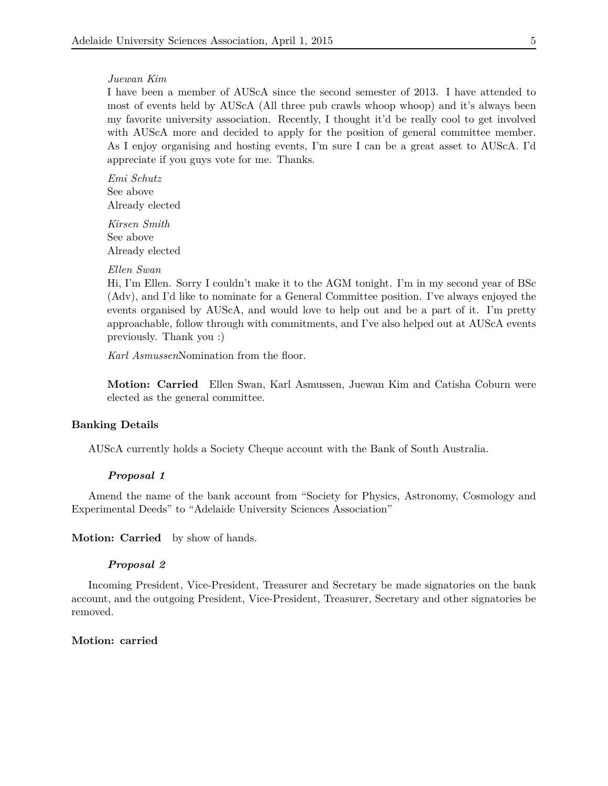#### *Juewan Kim*

I have been a member of AUScA since the second semester of 2013. I have attended to most of events held by AUScA (All three pub crawls whoop whoop) and it's always been my favorite university association. Recently, I thought it'd be really cool to get involved with AUScA more and decided to apply for the position of general committee member. As I enjoy organising and hosting events, I'm sure I can be a great asset to AUScA. I'd appreciate if you guys vote for me. Thanks.

*Emi Schutz* See above Already elected

*Kirsen Smith* See above Already elected

#### *Ellen Swan*

Hi, I'm Ellen. Sorry I couldn't make it to the AGM tonight. I'm in my second year of BSc (Adv), and I'd like to nominate for a General Committee position. I've always enjoyed the events organised by AUScA, and would love to help out and be a part of it. I'm pretty approachable, follow through with commitments, and I've also helped out at AUScA events previously. Thank you :)

*Karl Asmussen*Nomination from the floor.

**Motion: Carried** Ellen Swan, Karl Asmussen, Juewan Kim and Catisha Coburn were elected as the general committee.

#### **Banking Details**

AUScA currently holds a Society Cheque account with the Bank of South Australia.

#### *Proposal 1*

Amend the name of the bank account from "Society for Physics, Astronomy, Cosmology and Experimental Deeds" to "Adelaide University Sciences Association"

**Motion: Carried** by show of hands.

#### *Proposal 2*

Incoming President, Vice-President, Treasurer and Secretary be made signatories on the bank account, and the outgoing President, Vice-President, Treasurer, Secretary and other signatories be removed.

#### **Motion: carried**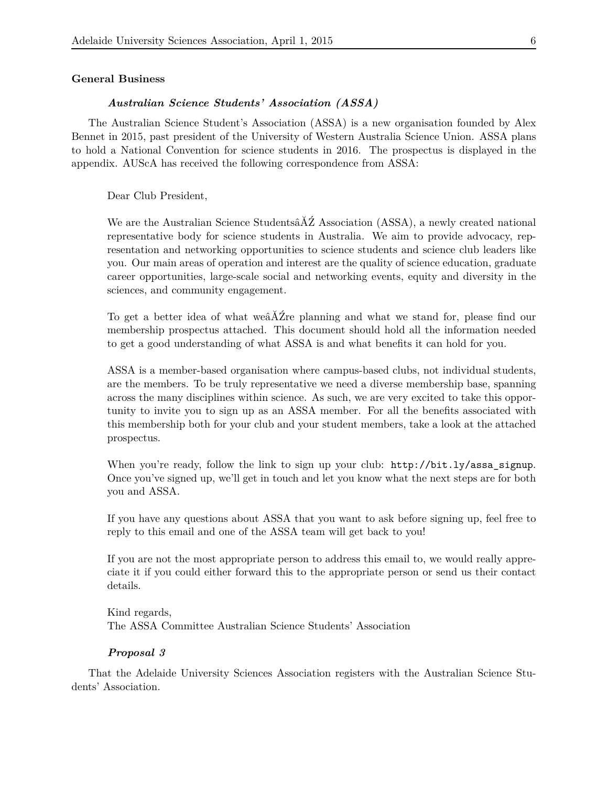#### **General Business**

#### *Australian Science Students' Association (ASSA)*

The Australian Science Student's Association (ASSA) is a new organisation founded by Alex Bennet in 2015, past president of the University of Western Australia Science Union. ASSA plans to hold a National Convention for science students in 2016. The prospectus is displayed in the appendix. AUScA has received the following correspondence from ASSA:

Dear Club President,

We are the Australian Science StudentsâĂŹ Association (ASSA), a newly created national representative body for science students in Australia. We aim to provide advocacy, representation and networking opportunities to science students and science club leaders like you. Our main areas of operation and interest are the quality of science education, graduate career opportunities, large-scale social and networking events, equity and diversity in the sciences, and community engagement.

To get a better idea of what weâĂŹre planning and what we stand for, please find our membership prospectus attached. This document should hold all the information needed to get a good understanding of what ASSA is and what benefits it can hold for you.

ASSA is a member-based organisation where campus-based clubs, not individual students, are the members. To be truly representative we need a diverse membership base, spanning across the many disciplines within science. As such, we are very excited to take this opportunity to invite you to sign up as an ASSA member. For all the benefits associated with this membership both for your club and your student members, take a look at the attached prospectus.

When you're ready, follow the link to sign up your club: http://bit.ly/assa\_signup. Once you've signed up, we'll get in touch and let you know what the next steps are for both you and ASSA.

If you have any questions about ASSA that you want to ask before signing up, feel free to reply to this email and one of the ASSA team will get back to you!

If you are not the most appropriate person to address this email to, we would really appreciate it if you could either forward this to the appropriate person or send us their contact details.

Kind regards, The ASSA Committee Australian Science Students' Association

#### *Proposal 3*

That the Adelaide University Sciences Association registers with the Australian Science Students' Association.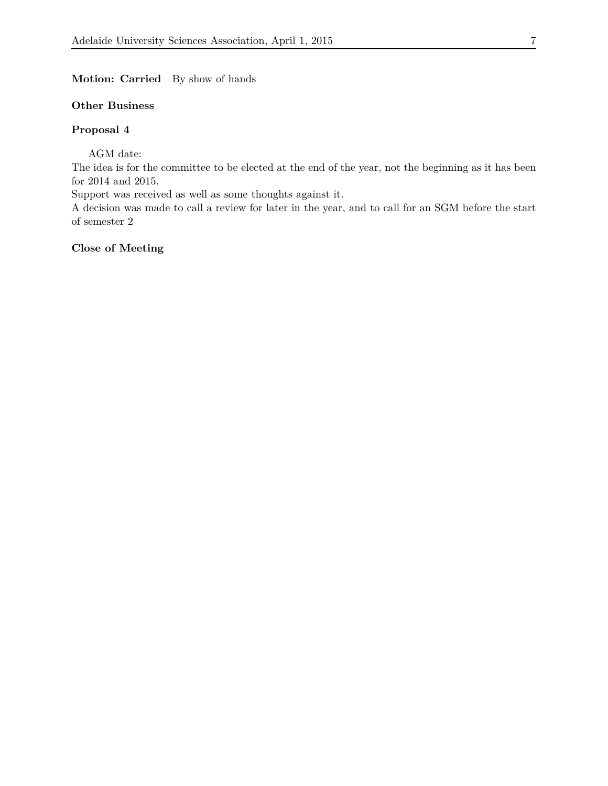#### **Motion: Carried** By show of hands

#### **Other Business**

#### **Proposal 4**

AGM date:

The idea is for the committee to be elected at the end of the year, not the beginning as it has been for 2014 and 2015.

Support was received as well as some thoughts against it.

A decision was made to call a review for later in the year, and to call for an SGM before the start of semester 2

#### **Close of Meeting**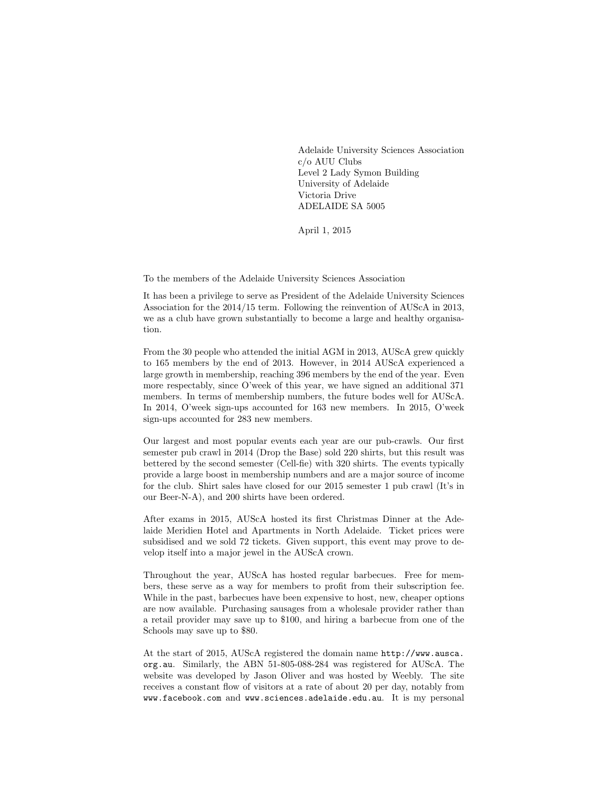Adelaide University Sciences Association c/o AUU Clubs Level 2 Lady Symon Building University of Adelaide Victoria Drive ADELAIDE SA 5005

April 1, 2015

To the members of the Adelaide University Sciences Association

It has been a privilege to serve as President of the Adelaide University Sciences Association for the 2014/15 term. Following the reinvention of AUScA in 2013, we as a club have grown substantially to become a large and healthy organisation.

From the 30 people who attended the initial AGM in 2013, AUScA grew quickly to 165 members by the end of 2013. However, in 2014 AUScA experienced a large growth in membership, reaching 396 members by the end of the year. Even more respectably, since O'week of this year, we have signed an additional 371 members. In terms of membership numbers, the future bodes well for AUScA. In 2014, O'week sign-ups accounted for 163 new members. In 2015, O'week sign-ups accounted for 283 new members.

Our largest and most popular events each year are our pub-crawls. Our first semester pub crawl in 2014 (Drop the Base) sold 220 shirts, but this result was bettered by the second semester (Cell-fie) with 320 shirts. The events typically provide a large boost in membership numbers and are a major source of income for the club. Shirt sales have closed for our 2015 semester 1 pub crawl (It's in our Beer-N-A), and 200 shirts have been ordered.

After exams in 2015, AUScA hosted its first Christmas Dinner at the Adelaide Meridien Hotel and Apartments in North Adelaide. Ticket prices were subsidised and we sold 72 tickets. Given support, this event may prove to develop itself into a major jewel in the AUScA crown.

Throughout the year, AUScA has hosted regular barbecues. Free for members, these serve as a way for members to profit from their subscription fee. While in the past, barbecues have been expensive to host, new, cheaper options are now available. Purchasing sausages from a wholesale provider rather than a retail provider may save up to \$100, and hiring a barbecue from one of the Schools may save up to \$80.

At the start of 2015, AUScA registered the domain name http://www.ausca. org.au. Similarly, the ABN 51-805-088-284 was registered for AUScA. The website was developed by Jason Oliver and was hosted by Weebly. The site receives a constant flow of visitors at a rate of about 20 per day, notably from www.facebook.com and www.sciences.adelaide.edu.au. It is my personal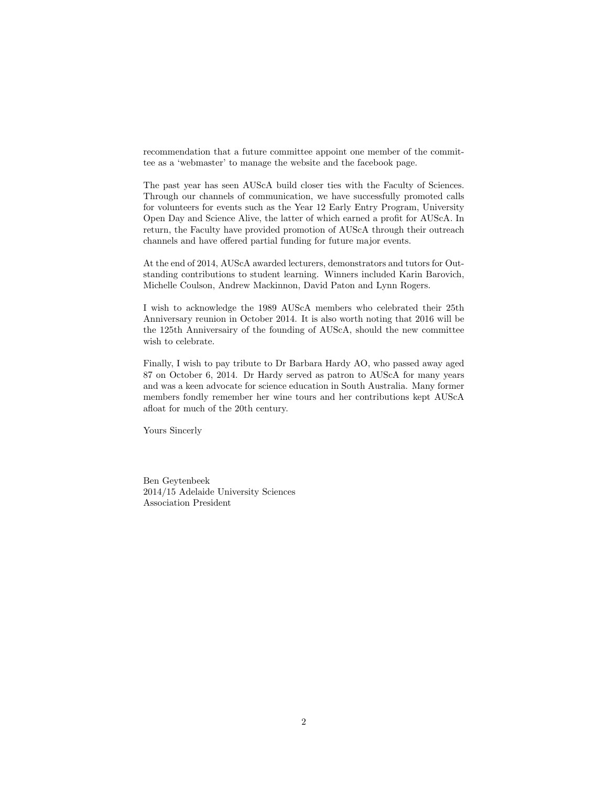recommendation that a future committee appoint one member of the committee as a 'webmaster' to manage the website and the facebook page.

The past year has seen AUScA build closer ties with the Faculty of Sciences. Through our channels of communication, we have successfully promoted calls for volunteers for events such as the Year 12 Early Entry Program, University Open Day and Science Alive, the latter of which earned a profit for AUScA. In return, the Faculty have provided promotion of AUScA through their outreach channels and have offered partial funding for future major events.

At the end of 2014, AUScA awarded lecturers, demonstrators and tutors for Outstanding contributions to student learning. Winners included Karin Barovich, Michelle Coulson, Andrew Mackinnon, David Paton and Lynn Rogers.

I wish to acknowledge the 1989 AUScA members who celebrated their 25th Anniversary reunion in October 2014. It is also worth noting that 2016 will be the 125th Anniversairy of the founding of AUScA, should the new committee wish to celebrate.

Finally, I wish to pay tribute to Dr Barbara Hardy AO, who passed away aged 87 on October 6, 2014. Dr Hardy served as patron to AUScA for many years and was a keen advocate for science education in South Australia. Many former members fondly remember her wine tours and her contributions kept AUScA afloat for much of the 20th century.

Yours Sincerly

Ben Geytenbeek 2014/15 Adelaide University Sciences Association President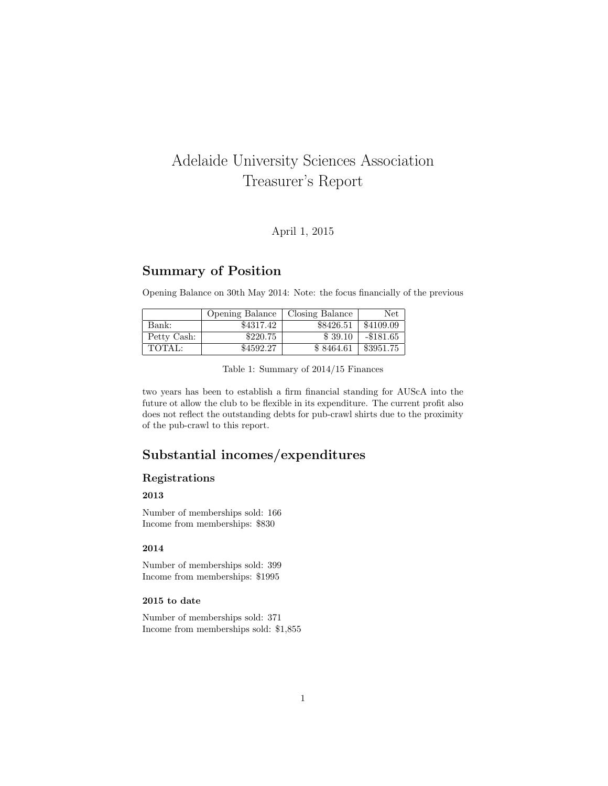## Adelaide University Sciences Association Treasurer's Report

April 1, 2015

### Summary of Position

Opening Balance on 30th May 2014: Note: the focus financially of the previous

|             | <b>Opening Balance</b> | Closing Balance | <b>Net</b> |
|-------------|------------------------|-----------------|------------|
| Bank:       | \$4317.42              | \$8426.51       | \$4109.09  |
| Petty Cash: | \$220.75               | \$39.10         | -\$181.65  |
| TOTAL:      | \$4592.27              | \$8464.61       | \$3951.75  |

Table 1: Summary of 2014/15 Finances

two years has been to establish a firm financial standing for AUScA into the future ot allow the club to be flexible in its expenditure. The current profit also does not reflect the outstanding debts for pub-crawl shirts due to the proximity of the pub-crawl to this report.

## Substantial incomes/expenditures

#### Registrations

2013

Number of memberships sold: 166 Income from memberships: \$830

#### 2014

Number of memberships sold: 399 Income from memberships: \$1995

#### 2015 to date

Number of memberships sold: 371 Income from memberships sold: \$1,855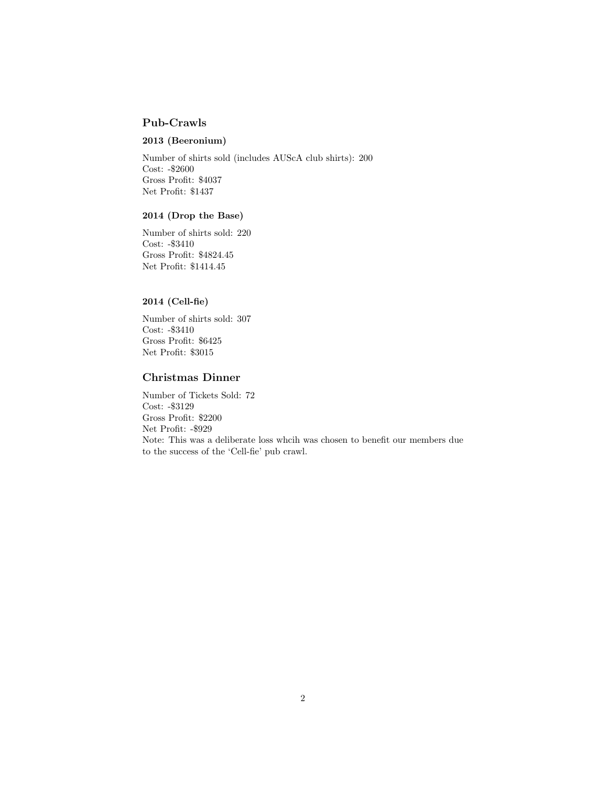#### Pub-Crawls

#### 2013 (Beeronium)

Number of shirts sold (includes AUScA club shirts): 200 Cost: -\$2600 Gross Profit: \$4037 Net Profit: \$1437

#### 2014 (Drop the Base)

Number of shirts sold: 220 Cost: -\$3410 Gross Profit: \$4824.45 Net Profit: \$1414.45

#### 2014 (Cell-fie)

Number of shirts sold: 307 Cost: -\$3410 Gross Profit: \$6425 Net Profit: \$3015

#### Christmas Dinner

Number of Tickets Sold: 72 Cost: -\$3129 Gross Profit: \$2200 Net Profit: -\$929 Note: This was a deliberate loss whcih was chosen to benefit our members due to the success of the 'Cell-fie' pub crawl.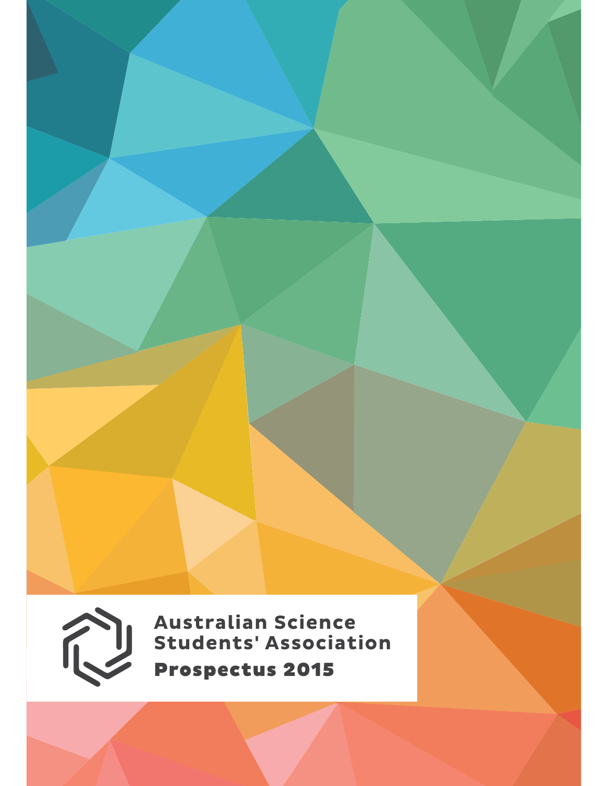

**Australian Science Students' Association** Prospectus 2015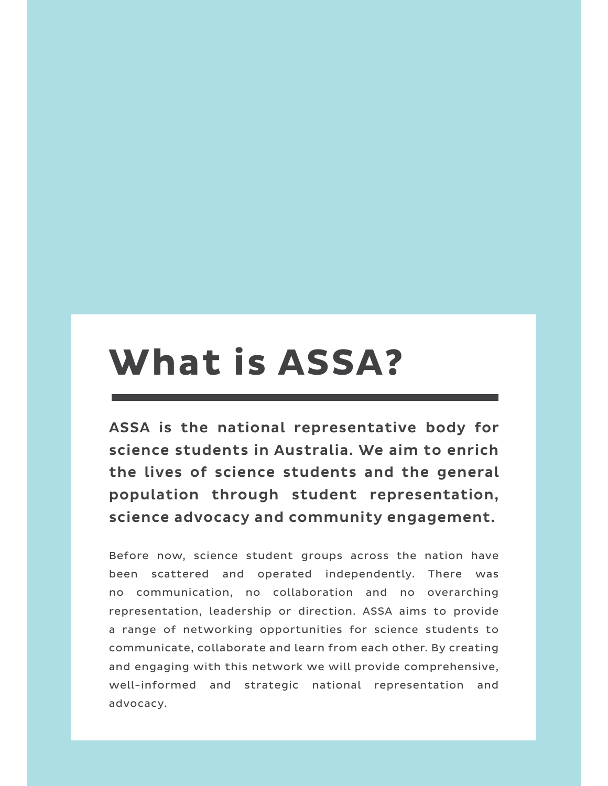## **What is ASSA?**

ASSA is the national representative body for science students in Australia. We aim to enrich the lives of science students and the general population through student representation, science advocacy and community engagement.

Before now, science student groups across the nation have been scattered and operated independently. There was no communication, no collaboration and no overarching representation, leadership or direction. ASSA aims to provide a range of networking opportunities for science students to communicate, collaborate and learn from each other. By creating and engaging with this network we will provide comprehensive, well-informed and strategic national representation and advocacy.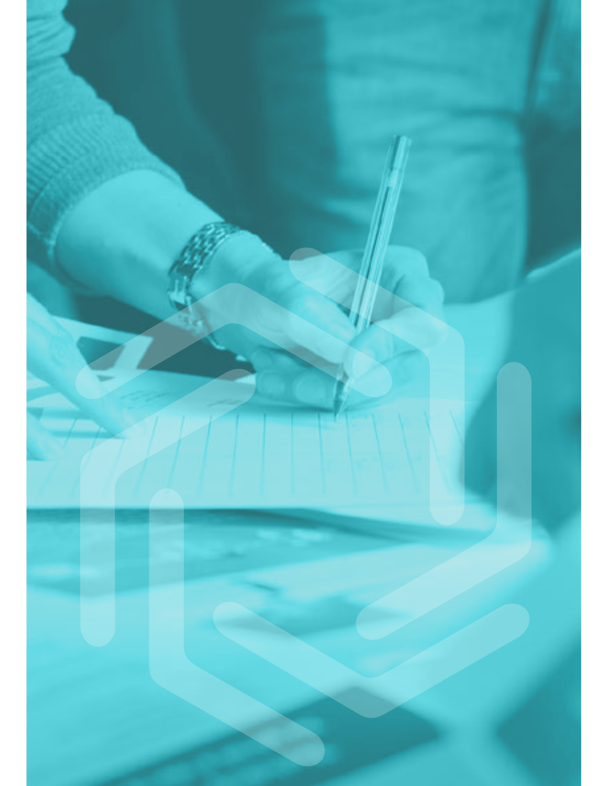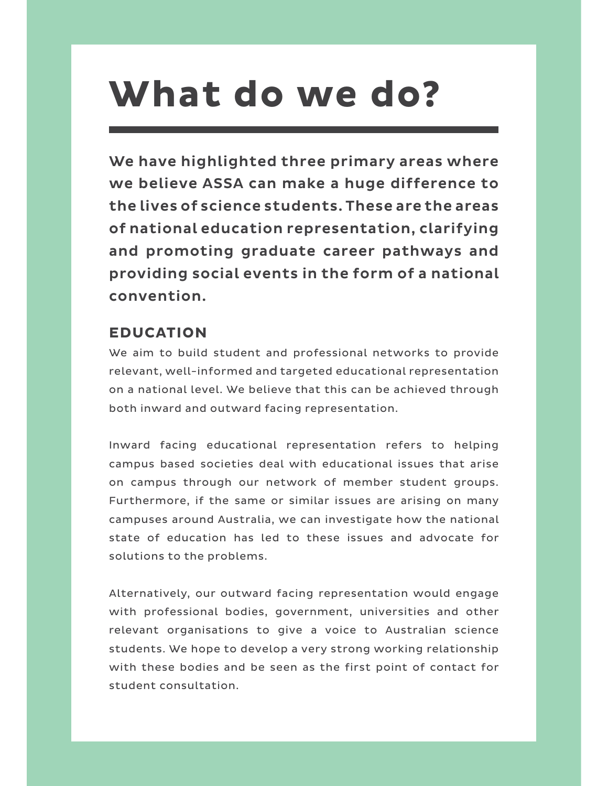# **What do we do?**

We have highlighted three primary areas where we believe ASSA can make a huge difference to the lives of science students. These are the areas of national education representation, clarifying and promoting graduate career pathways and providing social events in the form of a national convention.

## **EDUCATION**

We aim to build student and professional networks to provide relevant, well-informed and targeted educational representation on a national level. We believe that this can be achieved through both inward and outward facing representation.

Inward facing educational representation refers to helping campus based societies deal with educational issues that arise on campus through our network of member student groups. Furthermore, if the same or similar issues are arising on many campuses around Australia, we can investigate how the national state of education has led to these issues and advocate for solutions to the problems.

Alternatively, our outward facing representation would engage with professional bodies, government, universities and other relevant organisations to give a voice to Australian science students. We hope to develop a very strong working relationship with these bodies and be seen as the first point of contact for student consultation.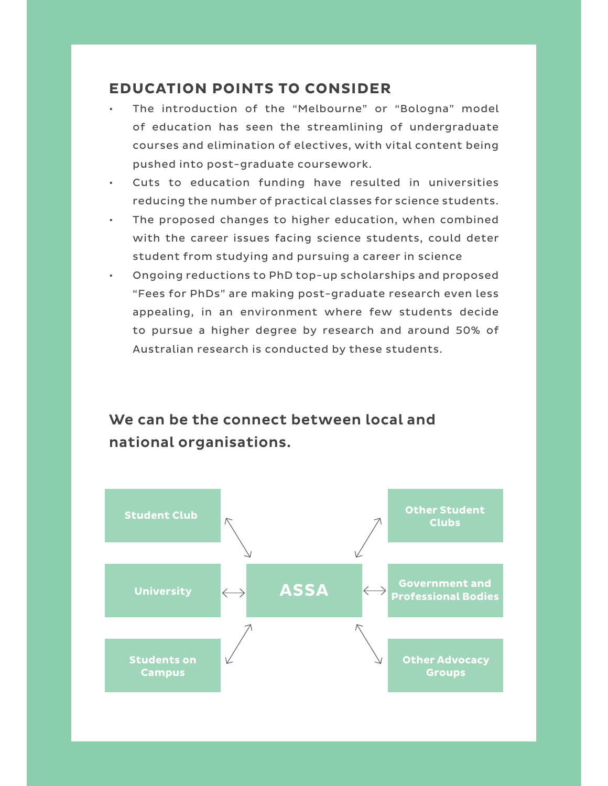## **EDUCATION POINTS TO CONSIDER**

- The introduction of the "Melbourne" or "Bologna" model of education has seen the streamlining of undergraduate courses and elimination of electives, with vital content being pushed into post-graduate coursework.
- Cuts to education funding have resulted in universities reducing the number of practical classes for science students.
- The proposed changes to higher education, when combined with the career issues facing science students, could deter student from studying and pursuing a career in science
- Ongoing reductions to PhD top-up scholarships and proposed "Fees for PhDs" are making post-graduate research even less appealing, in an environment where few students decide to pursue a higher degree by research and around 50% of Australian research is conducted by these students.

## We can be the connect between local and national organisations.

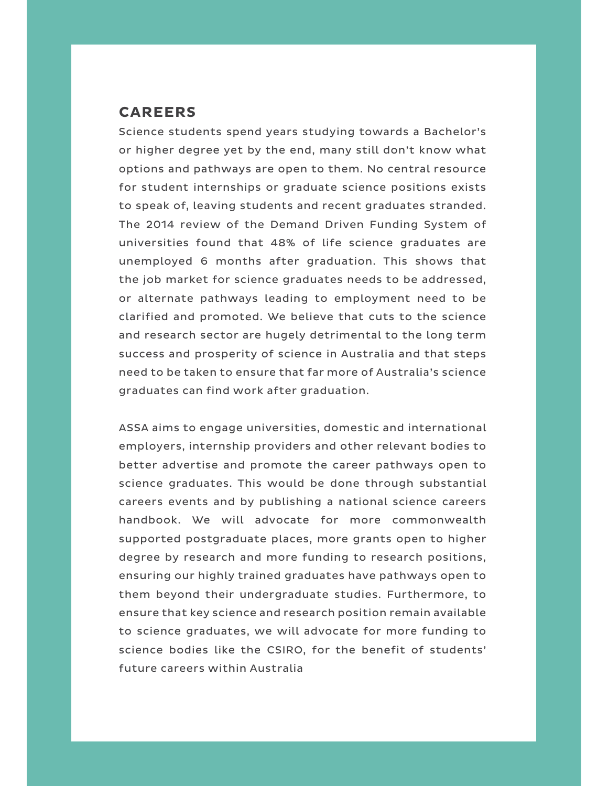## **CAREERS**

Science students spend years studying towards a Bachelor's or higher degree yet by the end, many still don't know what options and pathways are open to them. No central resource for student internships or graduate science positions exists to speak of, leaving students and recent graduates stranded. The 2014 review of the Demand Driven Funding System of universities found that 48% of life science graduates are unemployed 6 months after graduation. This shows that the job market for science graduates needs to be addressed, or alternate pathways leading to employment need to be clarified and promoted. We believe that cuts to the science and research sector are hugely detrimental to the long term success and prosperity of science in Australia and that steps need to be taken to ensure that far more of Australia's science graduates can find work after graduation.

ASSA aims to engage universities, domestic and international employers, internship providers and other relevant bodies to better advertise and promote the career pathways open to science graduates. This would be done through substantial careers events and by publishing a national science careers handbook. We will advocate for more commonwealth supported postgraduate places, more grants open to higher degree by research and more funding to research positions, ensuring our highly trained graduates have pathways open to them beyond their undergraduate studies. Furthermore, to ensure that key science and research position remain available to science graduates, we will advocate for more funding to science bodies like the CSIRO, for the benefit of students' future careers within Australia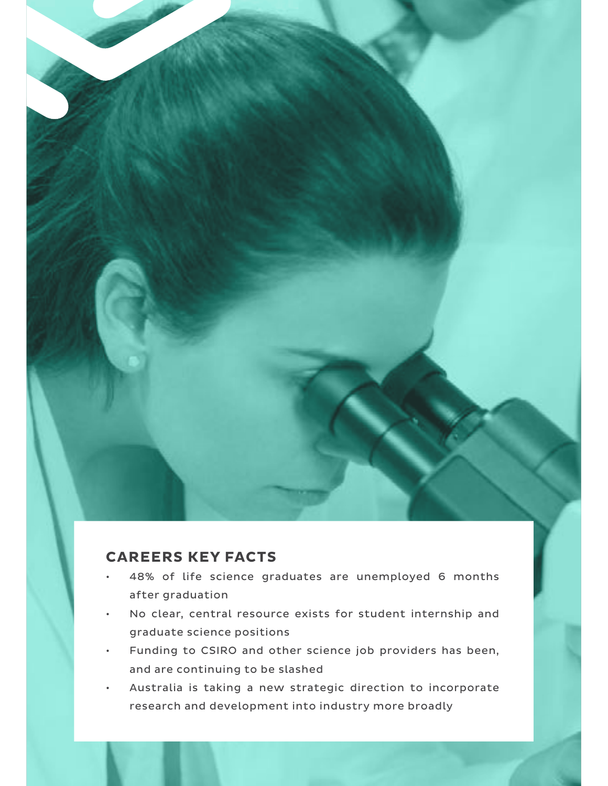## **CAREERS KEY FACTS**

- 48% of life science graduates are unemployed 6 months after graduation
- No clear, central resource exists for student internship and graduate science positions
- Funding to CSIRO and other science job providers has been, and are continuing to be slashed
- Australia is taking a new strategic direction to incorporate research and development into industry more broadly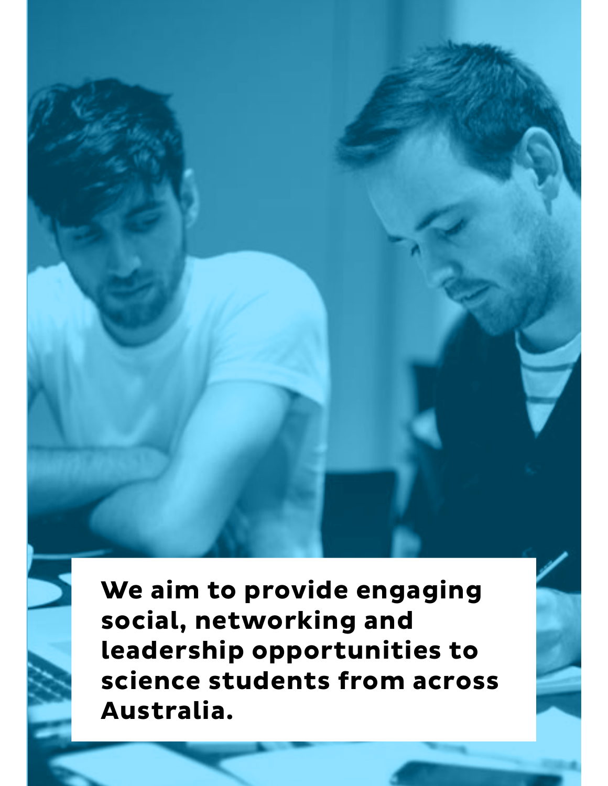**We aim to provide engaging social, networking and leadership opportunities to science students from across Australia.**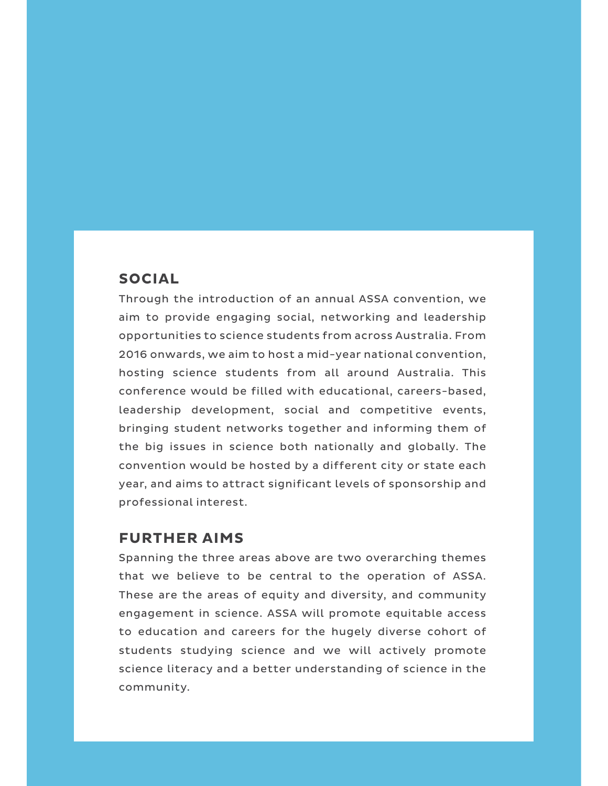## **SOCIAL**

Through the introduction of an annual ASSA convention, we aim to provide engaging social, networking and leadership opportunities to science students from across Australia. From 2016 onwards, we aim to host a mid-year national convention, hosting science students from all around Australia. This conference would be filled with educational, careers-based, leadership development, social and competitive events, bringing student networks together and informing them of the big issues in science both nationally and globally. The convention would be hosted by a different city or state each year, and aims to attract significant levels of sponsorship and professional interest.

## **FURTHER AIMS**

Spanning the three areas above are two overarching themes that we believe to be central to the operation of ASSA. These are the areas of equity and diversity, and community engagement in science. ASSA will promote equitable access to education and careers for the hugely diverse cohort of students studying science and we will actively promote science literacy and a better understanding of science in the community.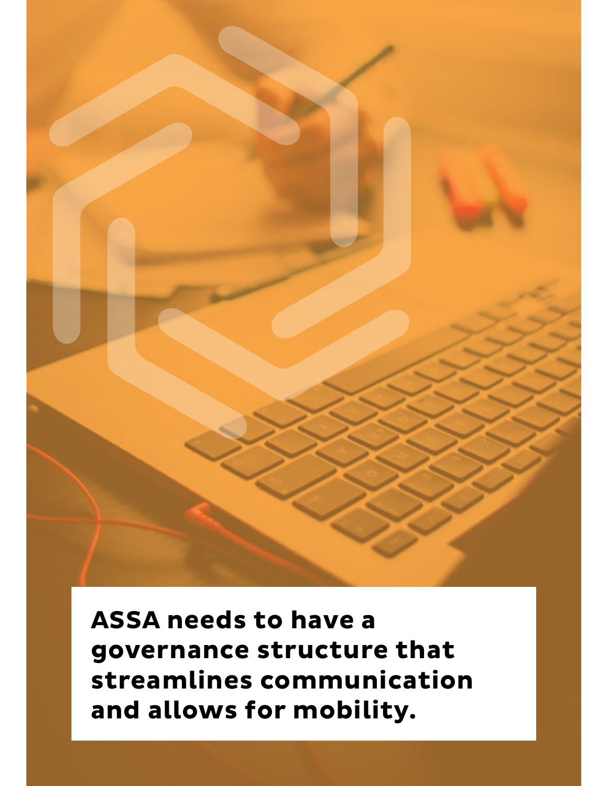**ASSA needs to have a governance structure that streamlines communication and allows for mobility.**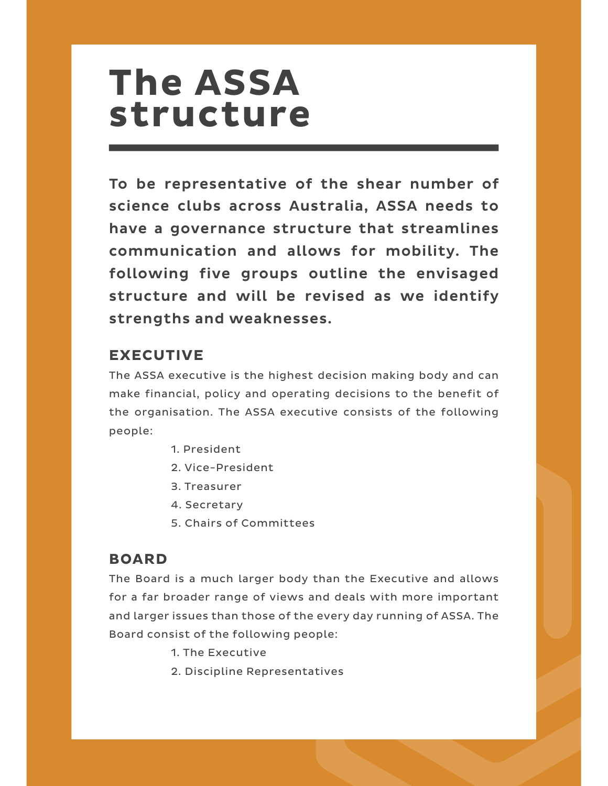## **The ASSA structure**

To be representative of the shear number of science clubs across Australia, ASSA needs to have a governance structure that streamlines communication and allows for mobility. The following five groups outline the envisaged structure and will be revised as we identify strengths and weaknesses.

## **EXECUTIVE**

The ASSA executive is the highest decision making body and can make financial, policy and operating decisions to the benefit of the organisation. The ASSA executive consists of the following people:

- 1. President
- 2. Vice-President
- 3. Treasurer
- 4. Secretary
- 5. Chairs of Committees

## **BOARD**

The Board is a much larger body than the Executive and allows for a far broader range of views and deals with more important and larger issues than those of the every day running of ASSA. The Board consist of the following people:

- 1. The Executive
- 2. Discipline Representatives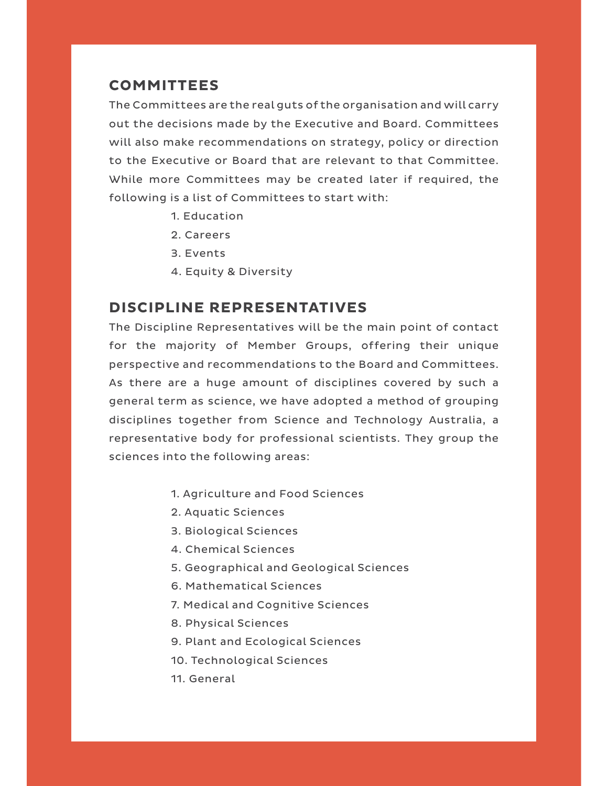## **COMMITTEES**

The Committees are the real guts of the organisation and will carry out the decisions made by the Executive and Board. Committees will also make recommendations on strategy, policy or direction to the Executive or Board that are relevant to that Committee. While more Committees may be created later if required, the following is a list of Committees to start with:

- 1. Education
- 2. Careers
- 3. Events
- 4. Equity & Diversity

### **DISCIPLINE REPRESENTATIVES**

The Discipline Representatives will be the main point of contact for the majority of Member Groups, offering their unique perspective and recommendations to the Board and Committees. As there are a huge amount of disciplines covered by such a general term as science, we have adopted a method of grouping disciplines together from Science and Technology Australia, a representative body for professional scientists. They group the sciences into the following areas:

- 1. Agriculture and Food Sciences
- 2. Aquatic Sciences
- 3. Biological Sciences
- 4. Chemical Sciences
- 5. Geographical and Geological Sciences
- 6. Mathematical Sciences
- 7. Medical and Cognitive Sciences
- 8. Physical Sciences
- 9. Plant and Ecological Sciences
- 10. Technological Sciences
- 11. General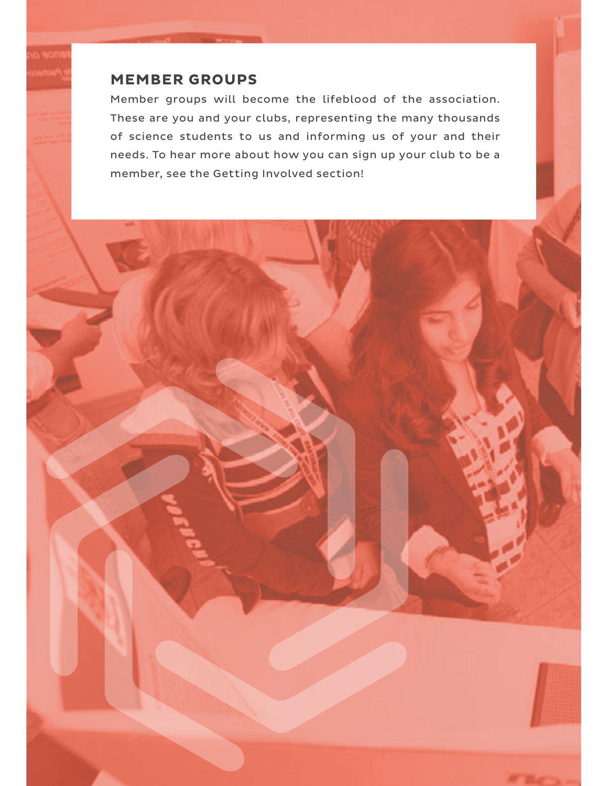## **MEMBER GROUPS**

Member groups will become the lifeblood of the association. These are you and your clubs, representing the many thousands of science students to us and informing us of your and their needs. To hear more about how you can sign up your club to be a member, see the Getting Involved section!

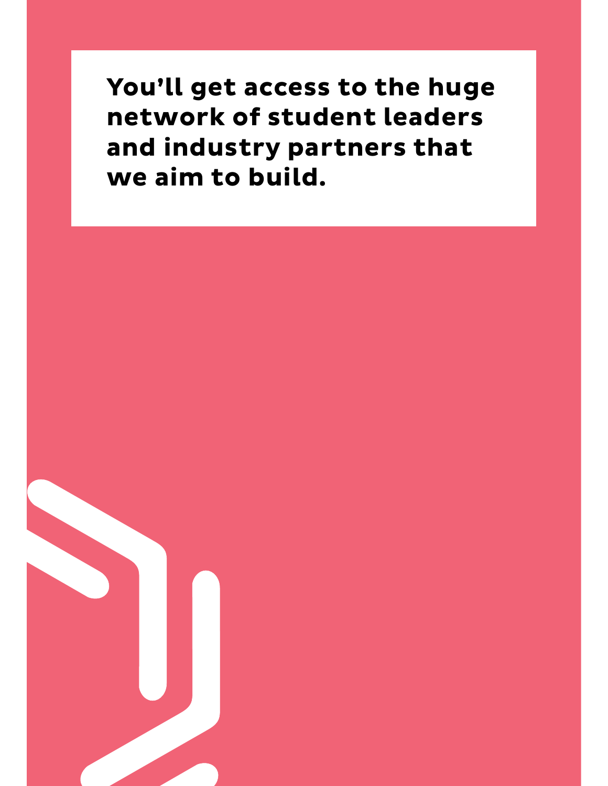**You'll get access to the huge network of student leaders and industry partners that we aim to build.** 

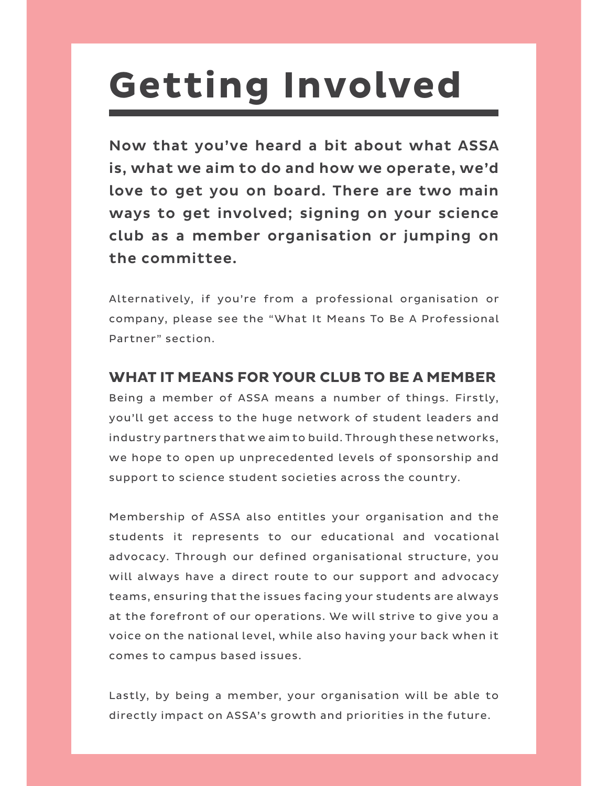# **Getting Involved**

Now that you've heard a bit about what ASSA is, what we aim to do and how we operate, we'd love to get you on board. There are two main ways to get involved; signing on your science club as a member organisation or jumping on the committee.

Alternatively, if you're from a professional organisation or company, please see the "What It Means To Be A Professional Partner" section.

## **WHAT IT MEANS FOR YOUR CLUB TO BE A MEMBER**

Being a member of ASSA means a number of things. Firstly, you'll get access to the huge network of student leaders and industry partners that we aim to build. Through these networks, we hope to open up unprecedented levels of sponsorship and support to science student societies across the country.

Membership of ASSA also entitles your organisation and the students it represents to our educational and vocational advocacy. Through our defined organisational structure, you will always have a direct route to our support and advocacy teams, ensuring that the issues facing your students are always at the forefront of our operations. We will strive to give you a voice on the national level, while also having your back when it comes to campus based issues.

Lastly, by being a member, your organisation will be able to directly impact on ASSA's growth and priorities in the future.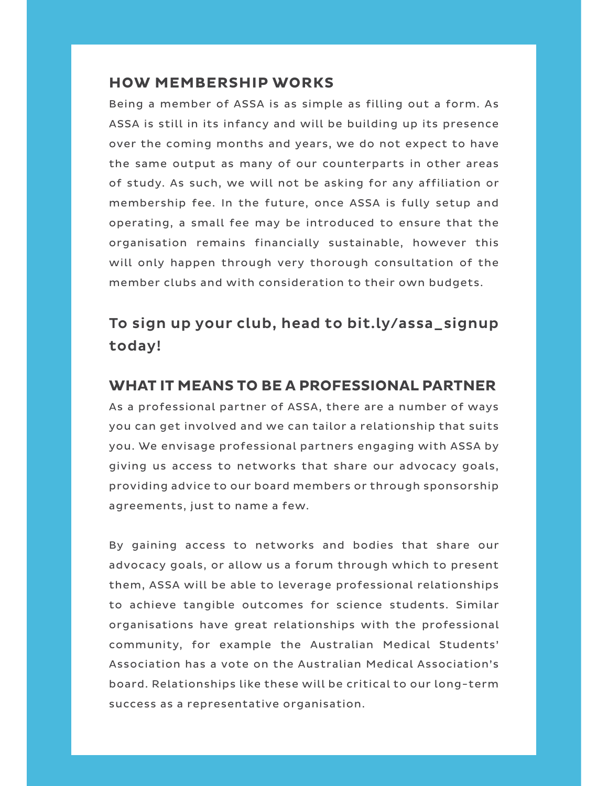## **HOW MEMBERSHIP WORKS**

Being a member of ASSA is as simple as filling out a form. As ASSA is still in its infancy and will be building up its presence over the coming months and years, we do not expect to have the same output as many of our counterparts in other areas of study. As such, we will not be asking for any affiliation or membership fee. In the future, once ASSA is fully setup and operating, a small fee may be introduced to ensure that the organisation remains financially sustainable, however this will only happen through very thorough consultation of the member clubs and with consideration to their own budgets.

## To sign up your club, head to bit.ly/assa\_signup today!

## **WHAT IT MEANS TO BE A PROFESSIONAL PARTNER**

As a professional partner of ASSA, there are a number of ways you can get involved and we can tailor a relationship that suits you. We envisage professional partners engaging with ASSA by giving us access to networks that share our advocacy goals, providing advice to our board members or through sponsorship agreements, just to name a few.

By gaining access to networks and bodies that share our advocacy goals, or allow us a forum through which to present them, ASSA will be able to leverage professional relationships to achieve tangible outcomes for science students. Similar organisations have great relationships with the professional community, for example the Australian Medical Students' Association has a vote on the Australian Medical Association's board. Relationships like these will be critical to our long-term success as a representative organisation.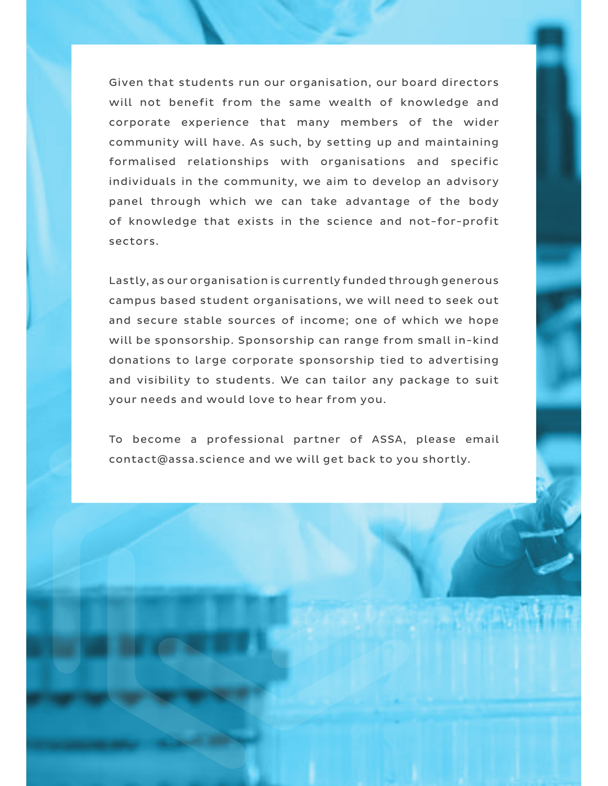Given that students run our organisation, our board directors will not benefit from the same wealth of knowledge and corporate experience that many members of the wider community will have. As such, by setting up and maintaining formalised relationships with organisations and specific individuals in the community, we aim to develop an advisory panel through which we can take advantage of the body of knowledge that exists in the science and not-for-profit sectors.

Lastly, as our organisation is currently funded through generous campus based student organisations, we will need to seek out and secure stable sources of income; one of which we hope will be sponsorship. Sponsorship can range from small in-kind donations to large corporate sponsorship tied to advertising and visibility to students. We can tailor any package to suit your needs and would love to hear from you.

To become a professional partner of ASSA, please email contact@assa.science and we will get back to you shortly.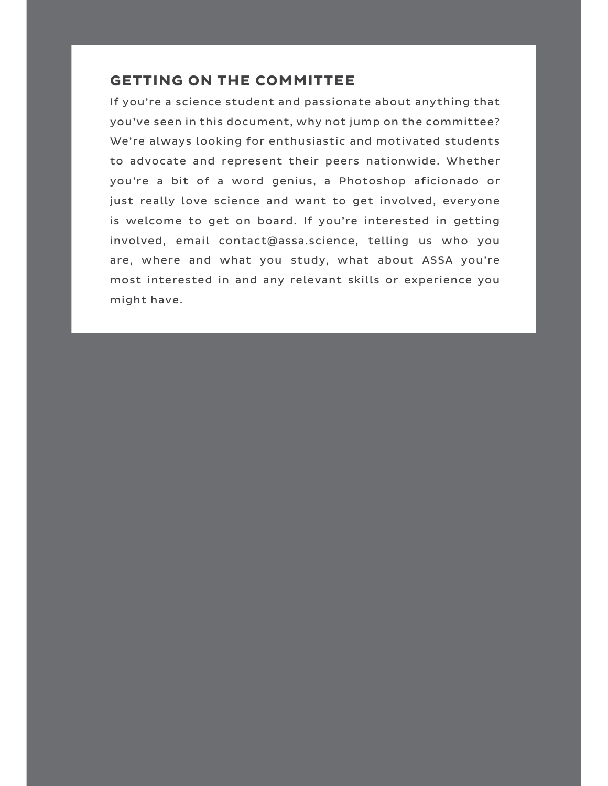## **GETTING ON THE COMMITTEE**

If you're a science student and passionate about anything that you've seen in this document, why not jump on the committee? We're always looking for enthusiastic and motivated students to advocate and represent their peers nationwide. Whether you're a bit of a word genius, a Photoshop aficionado or just really love science and want to get involved, everyone is welcome to get on board. If you're interested in getting involved, email contact@assa.science, telling us who you are, where and what you study, what about ASSA you're most interested in and any relevant skills or experience you might have.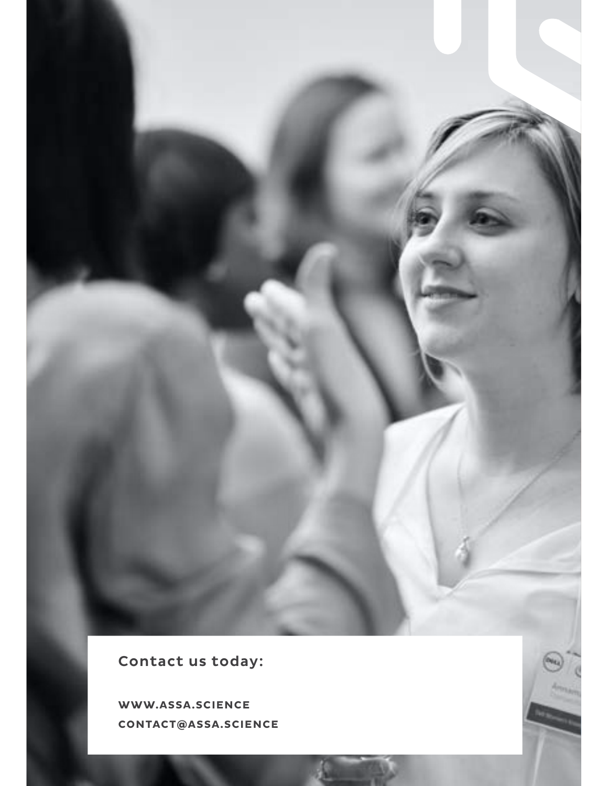Contact us today:

**WWW.ASSA.SCIENCE CONTACT@ASSA.SCIENCE**